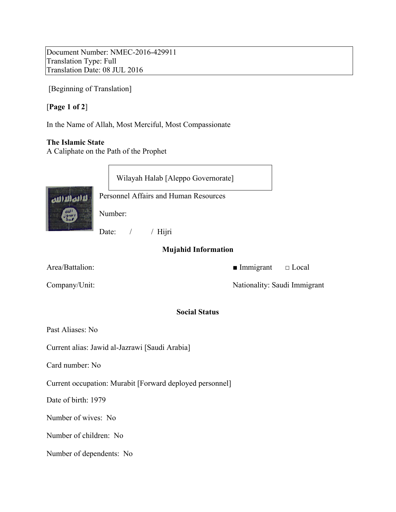Document Number: NMEC-2016-429911 Translation Type: Full Translation Date: 08 JUL 2016

[Beginning of Translation]

# [**Page 1 of 2**]

In the Name of Allah, Most Merciful, Most Compassionate

### **The Islamic State**

A Caliphate on the Path of the Prophet



## **Mujahid Information**

Area/Battalion: ■ Immigrant □ Local

Company/Unit: Nationality: Saudi Immigrant

### **Social Status**

Past Aliases: No

Current alias: Jawid al-Jazrawi [Saudi Arabia]

Card number: No

Current occupation: Murabit [Forward deployed personnel]

Date of birth: 1979

Number of wives: No

Number of children: No

Number of dependents: No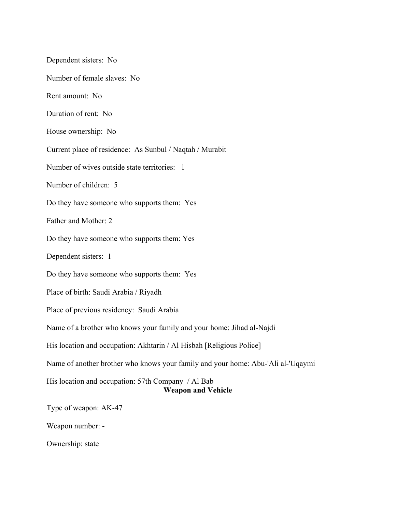Dependent sisters: No Number of female slaves: No Rent amount: No Duration of rent: No House ownership: No Current place of residence: As Sunbul / Naqtah / Murabit Number of wives outside state territories: 1 Number of children: 5 Do they have someone who supports them: Yes Father and Mother: 2 Do they have someone who supports them: Yes Dependent sisters: 1 Do they have someone who supports them: Yes Place of birth: Saudi Arabia / Riyadh Place of previous residency: Saudi Arabia Name of a brother who knows your family and your home: Jihad al-Najdi His location and occupation: Akhtarin / Al Hisbah [Religious Police] Name of another brother who knows your family and your home: Abu-'Ali al-'Uqaymi His location and occupation: 57th Company / Al Bab **Weapon and Vehicle** Type of weapon: AK-47 Weapon number: -

Ownership: state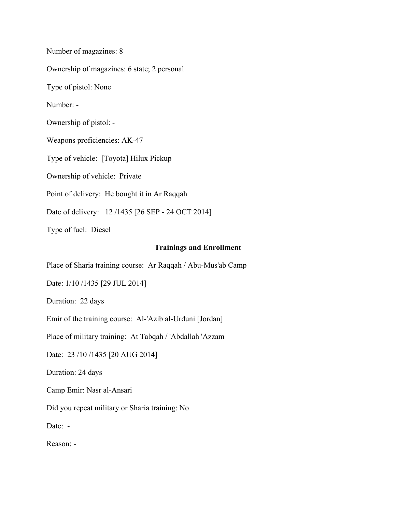Number of magazines: 8 Ownership of magazines: 6 state; 2 personal Type of pistol: None Number: - Ownership of pistol: - Weapons proficiencies: AK-47 Type of vehicle: [Toyota] Hilux Pickup Ownership of vehicle: Private Point of delivery: He bought it in Ar Raqqah Date of delivery: 12 /1435 [26 SEP - 24 OCT 2014] Type of fuel: Diesel

### **Trainings and Enrollment**

Place of Sharia training course: Ar Raqqah / Abu-Mus'ab Camp

Date: 1/10 /1435 [29 JUL 2014]

Duration: 22 days

Emir of the training course: Al-'Azib al-Urduni [Jordan]

Place of military training: At Tabqah / 'Abdallah 'Azzam

Date: 23 /10 /1435 [20 AUG 2014]

Duration: 24 days

Camp Emir: Nasr al-Ansari

Did you repeat military or Sharia training: No

Date: -

Reason: -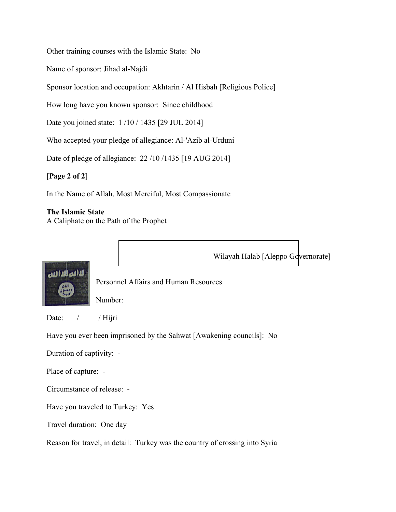Other training courses with the Islamic State: No

Name of sponsor: Jihad al-Najdi

Sponsor location and occupation: Akhtarin / Al Hisbah [Religious Police]

How long have you known sponsor: Since childhood

Date you joined state: 1 /10 / 1435 [29 JUL 2014]

Who accepted your pledge of allegiance: Al-'Azib al-Urduni

Date of pledge of allegiance: 22 /10 /1435 [19 AUG 2014]

[**Page 2 of 2**]

In the Name of Allah, Most Merciful, Most Compassionate

### **The Islamic State**

A Caliphate on the Path of the Prophet

Wilayah Halab [Aleppo Governorate]



Personnel Affairs and Human Resources

Number:

Date: / / Hijri

Have you ever been imprisoned by the Sahwat [Awakening councils]: No

Duration of captivity: -

Place of capture: -

Circumstance of release: -

Have you traveled to Turkey: Yes

Travel duration: One day

Reason for travel, in detail: Turkey was the country of crossing into Syria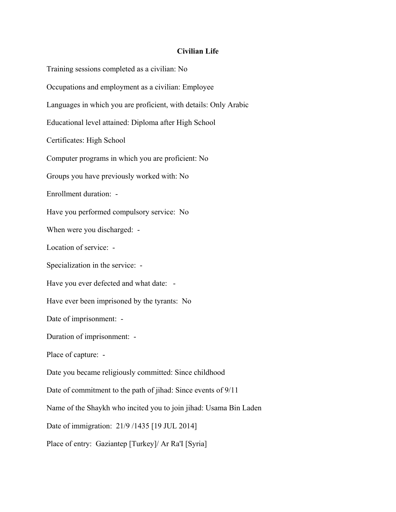### **Civilian Life**

Training sessions completed as a civilian: No Occupations and employment as a civilian: Employee Languages in which you are proficient, with details: Only Arabic Educational level attained: Diploma after High School Certificates: High School Computer programs in which you are proficient: No Groups you have previously worked with: No Enrollment duration: - Have you performed compulsory service: No When were you discharged: -Location of service: - Specialization in the service: - Have you ever defected and what date: -Have ever been imprisoned by the tyrants: No Date of imprisonment: - Duration of imprisonment: - Place of capture: - Date you became religiously committed: Since childhood Date of commitment to the path of jihad: Since events of 9/11 Name of the Shaykh who incited you to join jihad: Usama Bin Laden Date of immigration: 21/9 /1435 [19 JUL 2014] Place of entry: Gaziantep [Turkey]/ Ar Ra'I [Syria]